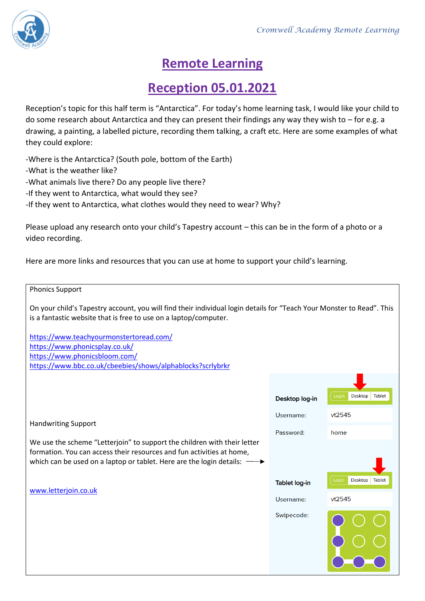

## **Remote Learning**

## **Reception 05.01.2021**

Reception's topic for this half term is "Antarctica". For today's home learning task, I would like your child to do some research about Antarctica and they can present their findings any way they wish to – for e.g. a drawing, a painting, a labelled picture, recording them talking, a craft etc. Here are some examples of what they could explore:

-Where is the Antarctica? (South pole, bottom of the Earth) -What is the weather like? -What animals live there? Do any people live there? -If they went to Antarctica, what would they see? -If they went to Antarctica, what clothes would they need to wear? Why?

Please upload any research onto your child's Tapestry account – this can be in the form of a photo or a video recording.

Here are more links and resources that you can use at home to support your child's learning.

## Phonics Support

On your child's Tapestry account, you will find their individual login details for "Teach Your Monster to Read". This is a fantastic website that is free to use on a laptop/computer.

<https://www.teachyourmonstertoread.com/> <https://www.phonicsplay.co.uk/> <https://www.phonicsbloom.com/> <https://www.bbc.co.uk/cbeebies/shows/alphablocks?scrlybrkr>